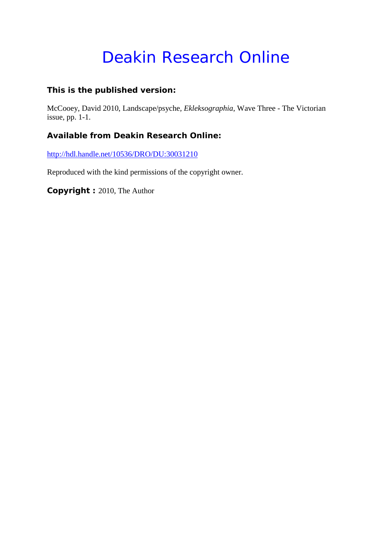# Deakin Research Online

#### **This is the published version:**

McCooey, David 2010, Landscape/psyche*, Ekleksographia*, Wave Three - The Victorian issue, pp. 1-1.

#### **Available from Deakin Research Online:**

<http://hdl.handle.net/10536/DRO/DU:30031210>

Reproduced with the kind permissions of the copyright owner.

**Copyright :** 2010, The Author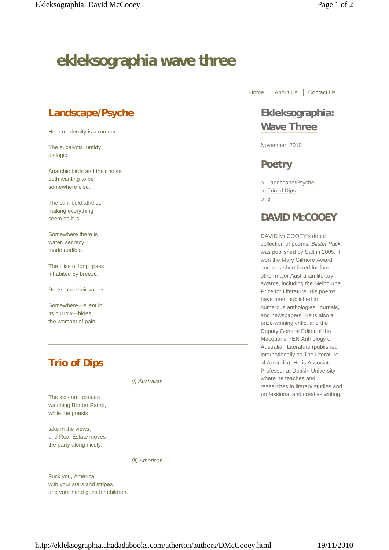# **ekleksographia wave three**

## **Landscape/Psyche**

Here modernity is a rumour.

The eucalypts, untidy as logic.

Anarchic birds and their noise, both wanting to be somewhere else.

The sun, bold atheist, making everything seem as it is.

Somewhere there is water, secrecy made audible.

The bliss of long grass inhabited by breeze.

Rocks and their values.

Somewhere—silent in its burrow—hides the wombat of pain.

# **Trio of Dips**

The kids are upstairs watching Border Patrol, while the guests

take in the views, and Real Estate moves the party along nicely.

*(i) Australian*

*(ii) American*

Fuck you, America, with your stars and stripes and your hand guns for children. Home | About Us | Contact Us

## **Ekleksographia: Wave Three**

November, 2010

### **Poetry**

Landscape/Psyche

- o Trio of Dips
- 5

### **DAVID McCOOEY**

DAVID McCOOEY's debut collection of poems, *Blister Pack,* was published by Salt in 2005. It won the Mary Gilmore Award and was short-listed for four other major Australian literary awards, including the Melbourne Prize for Literature. His poems have been published in numerous anthologies, journals, and newspapers. He is also a prize-winning critic, and the Deputy General Editor of the Macquarie PEN Anthology of Australian Literature (published internationally as The Literature of Australia). He is Associate Professor at Deakin University where he teaches and researches in literary studies and professional and creative writing.